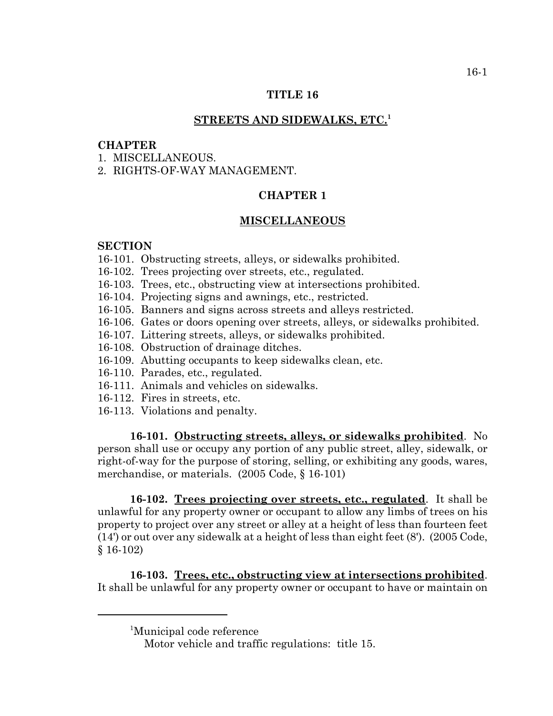## **TITLE 16**

### **STREETS AND SIDEWALKS, ETC.<sup>1</sup>**

# **CHAPTER**

- 1 MISCELLANEOUS
- 2. RIGHTS-OF-WAY MANAGEMENT.

# **CHAPTER 1**

# **MISCELLANEOUS**

### **SECTION**

- 16-101. Obstructing streets, alleys, or sidewalks prohibited.
- 16-102. Trees projecting over streets, etc., regulated.
- 16-103. Trees, etc., obstructing view at intersections prohibited.
- 16-104. Projecting signs and awnings, etc., restricted.
- 16-105. Banners and signs across streets and alleys restricted.
- 16-106. Gates or doors opening over streets, alleys, or sidewalks prohibited.
- 16-107. Littering streets, alleys, or sidewalks prohibited.
- 16-108. Obstruction of drainage ditches.
- 16-109. Abutting occupants to keep sidewalks clean, etc.
- 16-110. Parades, etc., regulated.
- 16-111. Animals and vehicles on sidewalks.
- 16-112. Fires in streets, etc.
- 16-113. Violations and penalty.

**16-101. Obstructing streets, alleys, or sidewalks prohibited**. No person shall use or occupy any portion of any public street, alley, sidewalk, or right-of-way for the purpose of storing, selling, or exhibiting any goods, wares, merchandise, or materials. (2005 Code, § 16-101)

**16-102. Trees projecting over streets, etc., regulated**. It shall be unlawful for any property owner or occupant to allow any limbs of trees on his property to project over any street or alley at a height of less than fourteen feet (14') or out over any sidewalk at a height of less than eight feet (8'). (2005 Code, § 16-102)

**16-103. Trees, etc., obstructing view at intersections prohibited**. It shall be unlawful for any property owner or occupant to have or maintain on

<sup>1</sup> Municipal code reference

Motor vehicle and traffic regulations: title 15.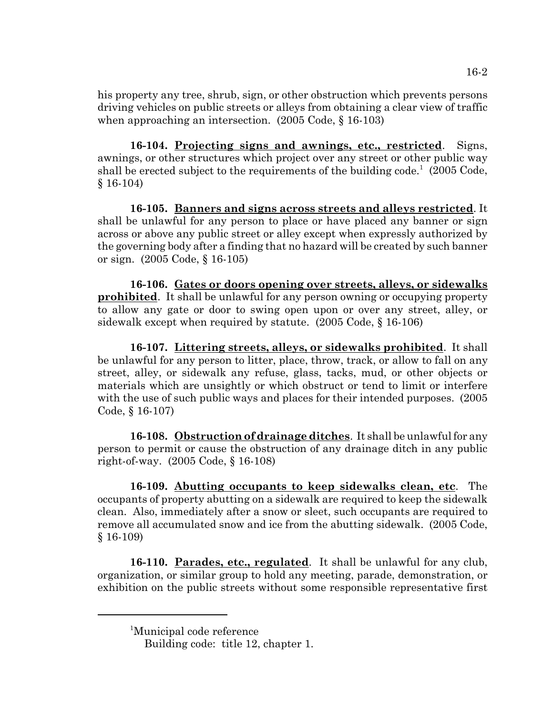his property any tree, shrub, sign, or other obstruction which prevents persons driving vehicles on public streets or alleys from obtaining a clear view of traffic when approaching an intersection. (2005 Code, § 16-103)

**16-104. Projecting signs and awnings, etc., restricted**. Signs, awnings, or other structures which project over any street or other public way shall be erected subject to the requirements of the building code.<sup>1</sup> (2005 Code, § 16-104)

**16-105. Banners and signs across streets and alleys restricted**. It shall be unlawful for any person to place or have placed any banner or sign across or above any public street or alley except when expressly authorized by the governing body after a finding that no hazard will be created by such banner or sign. (2005 Code, § 16-105)

**16-106. Gates or doors opening over streets, alleys, or sidewalks prohibited**. It shall be unlawful for any person owning or occupying property to allow any gate or door to swing open upon or over any street, alley, or sidewalk except when required by statute. (2005 Code, § 16-106)

**16-107. Littering streets, alleys, or sidewalks prohibited**. It shall be unlawful for any person to litter, place, throw, track, or allow to fall on any street, alley, or sidewalk any refuse, glass, tacks, mud, or other objects or materials which are unsightly or which obstruct or tend to limit or interfere with the use of such public ways and places for their intended purposes.  $(2005)$ Code, § 16-107)

**16-108. Obstruction of drainage ditches**. It shall be unlawful for any person to permit or cause the obstruction of any drainage ditch in any public right-of-way. (2005 Code, § 16-108)

**16-109. Abutting occupants to keep sidewalks clean, etc**. The occupants of property abutting on a sidewalk are required to keep the sidewalk clean. Also, immediately after a snow or sleet, such occupants are required to remove all accumulated snow and ice from the abutting sidewalk. (2005 Code, § 16-109)

**16-110. Parades, etc., regulated**. It shall be unlawful for any club, organization, or similar group to hold any meeting, parade, demonstration, or exhibition on the public streets without some responsible representative first

<sup>1</sup> Municipal code reference

Building code: title 12, chapter 1.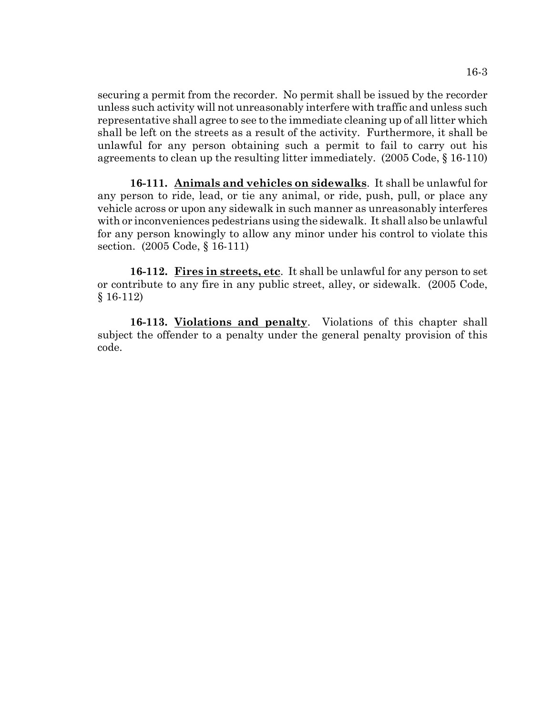securing a permit from the recorder. No permit shall be issued by the recorder unless such activity will not unreasonably interfere with traffic and unless such representative shall agree to see to the immediate cleaning up of all litter which shall be left on the streets as a result of the activity. Furthermore, it shall be unlawful for any person obtaining such a permit to fail to carry out his agreements to clean up the resulting litter immediately. (2005 Code, § 16-110)

**16-111. Animals and vehicles on sidewalks**. It shall be unlawful for any person to ride, lead, or tie any animal, or ride, push, pull, or place any vehicle across or upon any sidewalk in such manner as unreasonably interferes with or inconveniences pedestrians using the sidewalk. It shall also be unlawful for any person knowingly to allow any minor under his control to violate this section. (2005 Code, § 16-111)

**16-112. Fires in streets, etc**. It shall be unlawful for any person to set or contribute to any fire in any public street, alley, or sidewalk. (2005 Code, § 16-112)

**16-113. Violations and penalty**. Violations of this chapter shall subject the offender to a penalty under the general penalty provision of this code.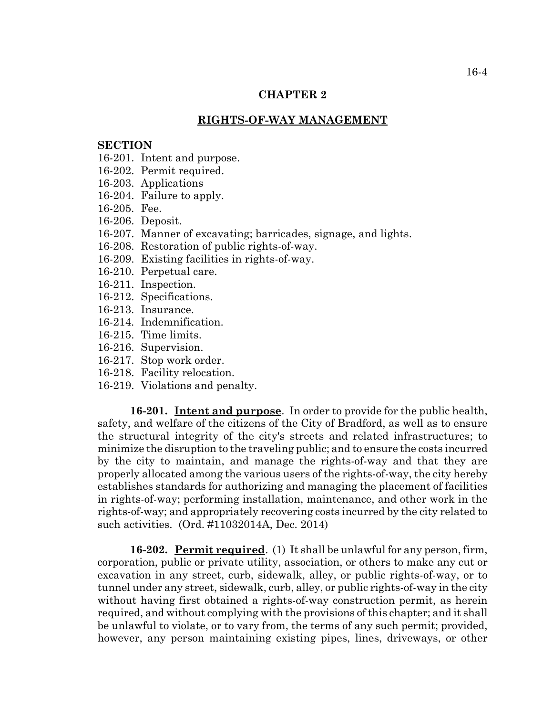## **CHAPTER 2**

#### **RIGHTS-OF-WAY MANAGEMENT**

#### **SECTION**

- 16-201. Intent and purpose.
- 16-202. Permit required.
- 16-203. Applications
- 16-204. Failure to apply.
- 16-205. Fee.
- 16-206. Deposit.
- 16-207. Manner of excavating; barricades, signage, and lights.
- 16-208. Restoration of public rights-of-way.
- 16-209. Existing facilities in rights-of-way.
- 16-210. Perpetual care.
- 16-211. Inspection.
- 16-212. Specifications.
- 16-213. Insurance.
- 16-214. Indemnification.
- 16-215. Time limits.
- 16-216. Supervision.
- 16-217. Stop work order.
- 16-218. Facility relocation.
- 16-219. Violations and penalty.

**16-201. Intent and purpose**. In order to provide for the public health, safety, and welfare of the citizens of the City of Bradford, as well as to ensure the structural integrity of the city's streets and related infrastructures; to minimize the disruption to the traveling public; and to ensure the costs incurred by the city to maintain, and manage the rights-of-way and that they are properly allocated among the various users of the rights-of-way, the city hereby establishes standards for authorizing and managing the placement of facilities in rights-of-way; performing installation, maintenance, and other work in the rights-of-way; and appropriately recovering costs incurred by the city related to such activities. (Ord. #11032014A, Dec. 2014)

**16-202. Permit required**. (1) It shall be unlawful for any person, firm, corporation, public or private utility, association, or others to make any cut or excavation in any street, curb, sidewalk, alley, or public rights-of-way, or to tunnel under any street, sidewalk, curb, alley, or public rights-of-way in the city without having first obtained a rights-of-way construction permit, as herein required, and without complying with the provisions of this chapter; and it shall be unlawful to violate, or to vary from, the terms of any such permit; provided, however, any person maintaining existing pipes, lines, driveways, or other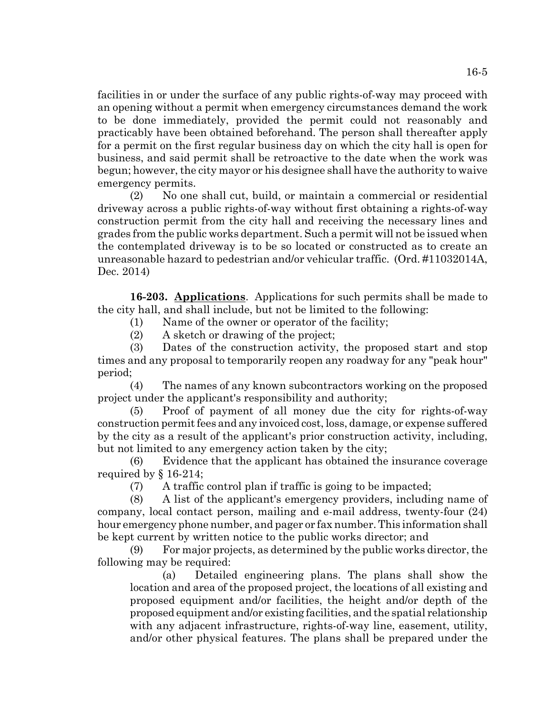facilities in or under the surface of any public rights-of-way may proceed with an opening without a permit when emergency circumstances demand the work to be done immediately, provided the permit could not reasonably and practicably have been obtained beforehand. The person shall thereafter apply for a permit on the first regular business day on which the city hall is open for business, and said permit shall be retroactive to the date when the work was begun; however, the city mayor or his designee shall have the authority to waive emergency permits.

(2) No one shall cut, build, or maintain a commercial or residential driveway across a public rights-of-way without first obtaining a rights-of-way construction permit from the city hall and receiving the necessary lines and grades from the public works department. Such a permit will not be issued when the contemplated driveway is to be so located or constructed as to create an unreasonable hazard to pedestrian and/or vehicular traffic. (Ord. #11032014A, Dec. 2014)

**16-203. Applications**. Applications for such permits shall be made to the city hall, and shall include, but not be limited to the following:

(1) Name of the owner or operator of the facility;

(2) A sketch or drawing of the project;

(3) Dates of the construction activity, the proposed start and stop times and any proposal to temporarily reopen any roadway for any "peak hour" period;

(4) The names of any known subcontractors working on the proposed project under the applicant's responsibility and authority;

(5) Proof of payment of all money due the city for rights-of-way construction permit fees and any invoiced cost, loss, damage, or expense suffered by the city as a result of the applicant's prior construction activity, including, but not limited to any emergency action taken by the city;

(6) Evidence that the applicant has obtained the insurance coverage required by § 16-214;

(7) A traffic control plan if traffic is going to be impacted;

(8) A list of the applicant's emergency providers, including name of company, local contact person, mailing and e-mail address, twenty-four (24) hour emergency phone number, and pager or fax number. This information shall be kept current by written notice to the public works director; and

(9) For major projects, as determined by the public works director, the following may be required:

(a) Detailed engineering plans. The plans shall show the location and area of the proposed project, the locations of all existing and proposed equipment and/or facilities, the height and/or depth of the proposed equipment and/or existing facilities, and the spatial relationship with any adjacent infrastructure, rights-of-way line, easement, utility, and/or other physical features. The plans shall be prepared under the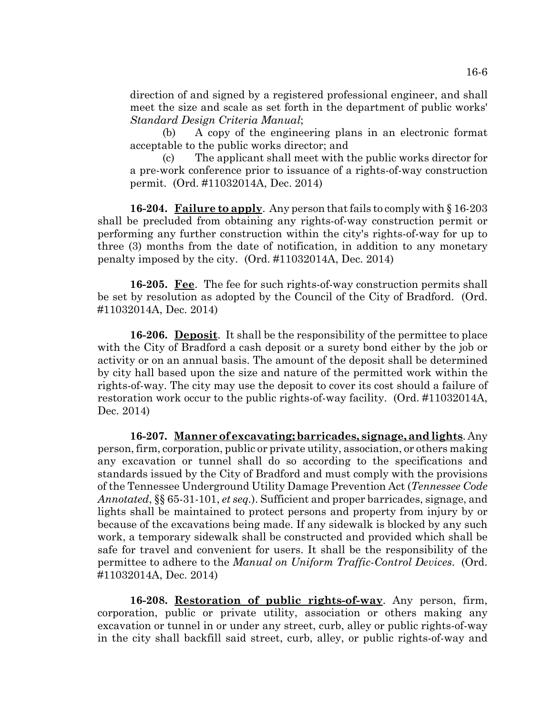direction of and signed by a registered professional engineer, and shall meet the size and scale as set forth in the department of public works' *Standard Design Criteria Manual*;

(b) A copy of the engineering plans in an electronic format acceptable to the public works director; and

(c) The applicant shall meet with the public works director for a pre-work conference prior to issuance of a rights-of-way construction permit. (Ord. #11032014A, Dec. 2014)

**16-204. Failure to apply**. Any person that fails to comply with § 16-203 shall be precluded from obtaining any rights-of-way construction permit or performing any further construction within the city's rights-of-way for up to three (3) months from the date of notification, in addition to any monetary penalty imposed by the city. (Ord. #11032014A, Dec. 2014)

**16-205. Fee**. The fee for such rights-of-way construction permits shall be set by resolution as adopted by the Council of the City of Bradford. (Ord. #11032014A, Dec. 2014)

**16-206. Deposit**. It shall be the responsibility of the permittee to place with the City of Bradford a cash deposit or a surety bond either by the job or activity or on an annual basis. The amount of the deposit shall be determined by city hall based upon the size and nature of the permitted work within the rights-of-way. The city may use the deposit to cover its cost should a failure of restoration work occur to the public rights-of-way facility. (Ord. #11032014A, Dec. 2014)

**16-207. Manner of excavating; barricades, signage, and lights**. Any person, firm, corporation, public or private utility, association, or others making any excavation or tunnel shall do so according to the specifications and standards issued by the City of Bradford and must comply with the provisions of the Tennessee Underground Utility Damage Prevention Act (*Tennessee Code Annotated*, §§ 65-31-101, *et seq.*). Sufficient and proper barricades, signage, and lights shall be maintained to protect persons and property from injury by or because of the excavations being made. If any sidewalk is blocked by any such work, a temporary sidewalk shall be constructed and provided which shall be safe for travel and convenient for users. It shall be the responsibility of the permittee to adhere to the *Manual on Uniform Traffic-Control Devices*. (Ord. #11032014A, Dec. 2014)

**16-208. Restoration of public rights-of-way**. Any person, firm, corporation, public or private utility, association or others making any excavation or tunnel in or under any street, curb, alley or public rights-of-way in the city shall backfill said street, curb, alley, or public rights-of-way and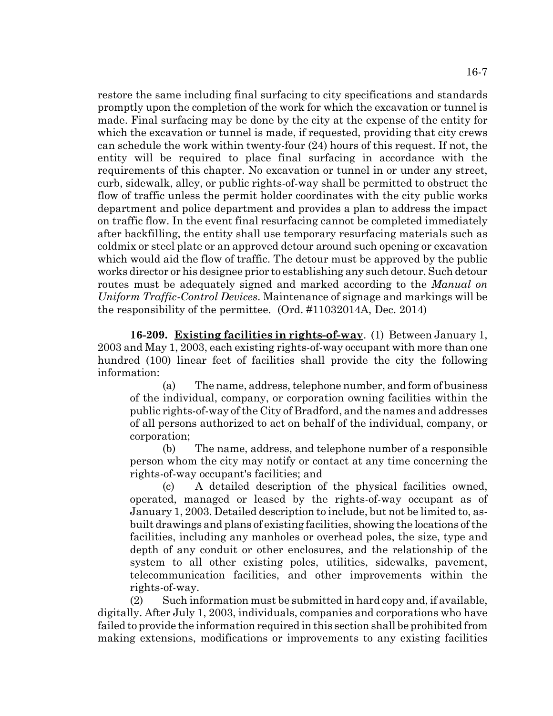restore the same including final surfacing to city specifications and standards promptly upon the completion of the work for which the excavation or tunnel is made. Final surfacing may be done by the city at the expense of the entity for which the excavation or tunnel is made, if requested, providing that city crews can schedule the work within twenty-four (24) hours of this request. If not, the entity will be required to place final surfacing in accordance with the requirements of this chapter. No excavation or tunnel in or under any street, curb, sidewalk, alley, or public rights-of-way shall be permitted to obstruct the flow of traffic unless the permit holder coordinates with the city public works department and police department and provides a plan to address the impact on traffic flow. In the event final resurfacing cannot be completed immediately after backfilling, the entity shall use temporary resurfacing materials such as coldmix or steel plate or an approved detour around such opening or excavation which would aid the flow of traffic. The detour must be approved by the public works director or his designee prior to establishing any such detour. Such detour routes must be adequately signed and marked according to the *Manual on Uniform Traffic-Control Devices*. Maintenance of signage and markings will be the responsibility of the permittee. (Ord. #11032014A, Dec. 2014)

**16-209. Existing facilities in rights-of-way**. (1) Between January 1, 2003 and May 1, 2003, each existing rights-of-way occupant with more than one hundred (100) linear feet of facilities shall provide the city the following information:

(a) The name, address, telephone number, and form of business of the individual, company, or corporation owning facilities within the public rights-of-way of the City of Bradford, and the names and addresses of all persons authorized to act on behalf of the individual, company, or corporation;

(b) The name, address, and telephone number of a responsible person whom the city may notify or contact at any time concerning the rights-of-way occupant's facilities; and

(c) A detailed description of the physical facilities owned, operated, managed or leased by the rights-of-way occupant as of January 1, 2003. Detailed description to include, but not be limited to, asbuilt drawings and plans of existing facilities, showing the locations of the facilities, including any manholes or overhead poles, the size, type and depth of any conduit or other enclosures, and the relationship of the system to all other existing poles, utilities, sidewalks, pavement, telecommunication facilities, and other improvements within the rights-of-way.

(2) Such information must be submitted in hard copy and, if available, digitally. After July 1, 2003, individuals, companies and corporations who have failed to provide the information required in this section shall be prohibited from making extensions, modifications or improvements to any existing facilities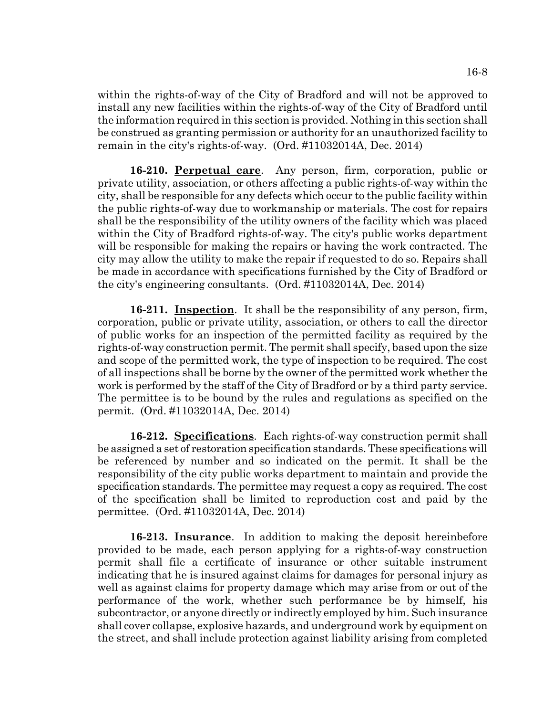within the rights-of-way of the City of Bradford and will not be approved to install any new facilities within the rights-of-way of the City of Bradford until the information required in this section is provided. Nothing in this section shall be construed as granting permission or authority for an unauthorized facility to remain in the city's rights-of-way. (Ord. #11032014A, Dec. 2014)

**16-210. Perpetual care**. Any person, firm, corporation, public or private utility, association, or others affecting a public rights-of-way within the city, shall be responsible for any defects which occur to the public facility within the public rights-of-way due to workmanship or materials. The cost for repairs shall be the responsibility of the utility owners of the facility which was placed within the City of Bradford rights-of-way. The city's public works department will be responsible for making the repairs or having the work contracted. The city may allow the utility to make the repair if requested to do so. Repairs shall be made in accordance with specifications furnished by the City of Bradford or the city's engineering consultants. (Ord. #11032014A, Dec. 2014)

**16-211. Inspection**. It shall be the responsibility of any person, firm, corporation, public or private utility, association, or others to call the director of public works for an inspection of the permitted facility as required by the rights-of-way construction permit. The permit shall specify, based upon the size and scope of the permitted work, the type of inspection to be required. The cost of all inspections shall be borne by the owner of the permitted work whether the work is performed by the staff of the City of Bradford or by a third party service. The permittee is to be bound by the rules and regulations as specified on the permit. (Ord. #11032014A, Dec. 2014)

**16-212. Specifications**. Each rights-of-way construction permit shall be assigned a set of restoration specification standards. These specifications will be referenced by number and so indicated on the permit. It shall be the responsibility of the city public works department to maintain and provide the specification standards. The permittee may request a copy as required. The cost of the specification shall be limited to reproduction cost and paid by the permittee. (Ord. #11032014A, Dec. 2014)

**16-213. Insurance**. In addition to making the deposit hereinbefore provided to be made, each person applying for a rights-of-way construction permit shall file a certificate of insurance or other suitable instrument indicating that he is insured against claims for damages for personal injury as well as against claims for property damage which may arise from or out of the performance of the work, whether such performance be by himself, his subcontractor, or anyone directly or indirectly employed by him. Such insurance shall cover collapse, explosive hazards, and underground work by equipment on the street, and shall include protection against liability arising from completed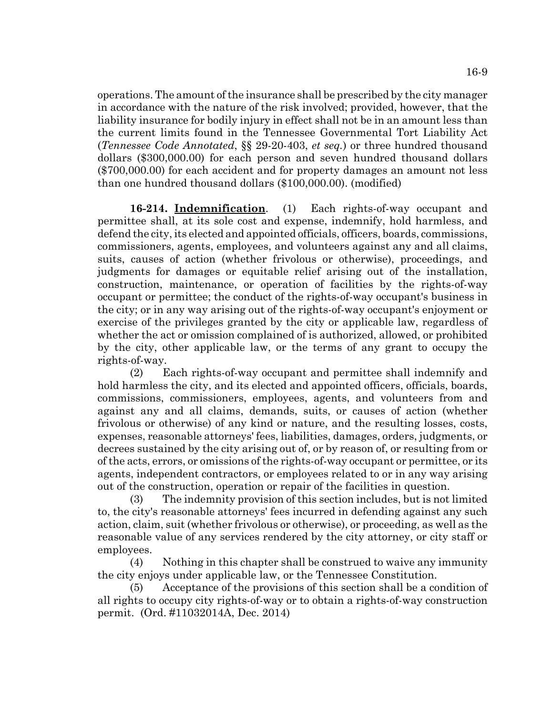operations. The amount of the insurance shall be prescribed by the city manager in accordance with the nature of the risk involved; provided, however, that the liability insurance for bodily injury in effect shall not be in an amount less than the current limits found in the Tennessee Governmental Tort Liability Act (*Tennessee Code Annotated*, §§ 29-20-403, *et seq.*) or three hundred thousand dollars (\$300,000.00) for each person and seven hundred thousand dollars (\$700,000.00) for each accident and for property damages an amount not less than one hundred thousand dollars (\$100,000.00). (modified)

**16-214. Indemnification**. (1) Each rights-of-way occupant and permittee shall, at its sole cost and expense, indemnify, hold harmless, and defend the city, its elected and appointed officials, officers, boards, commissions, commissioners, agents, employees, and volunteers against any and all claims, suits, causes of action (whether frivolous or otherwise), proceedings, and judgments for damages or equitable relief arising out of the installation, construction, maintenance, or operation of facilities by the rights-of-way occupant or permittee; the conduct of the rights-of-way occupant's business in the city; or in any way arising out of the rights-of-way occupant's enjoyment or exercise of the privileges granted by the city or applicable law, regardless of whether the act or omission complained of is authorized, allowed, or prohibited by the city, other applicable law, or the terms of any grant to occupy the rights-of-way.

(2) Each rights-of-way occupant and permittee shall indemnify and hold harmless the city, and its elected and appointed officers, officials, boards, commissions, commissioners, employees, agents, and volunteers from and against any and all claims, demands, suits, or causes of action (whether frivolous or otherwise) of any kind or nature, and the resulting losses, costs, expenses, reasonable attorneys' fees, liabilities, damages, orders, judgments, or decrees sustained by the city arising out of, or by reason of, or resulting from or of the acts, errors, or omissions of the rights-of-way occupant or permittee, or its agents, independent contractors, or employees related to or in any way arising out of the construction, operation or repair of the facilities in question.

(3) The indemnity provision of this section includes, but is not limited to, the city's reasonable attorneys' fees incurred in defending against any such action, claim, suit (whether frivolous or otherwise), or proceeding, as well as the reasonable value of any services rendered by the city attorney, or city staff or employees.

(4) Nothing in this chapter shall be construed to waive any immunity the city enjoys under applicable law, or the Tennessee Constitution.

(5) Acceptance of the provisions of this section shall be a condition of all rights to occupy city rights-of-way or to obtain a rights-of-way construction permit. (Ord. #11032014A, Dec. 2014)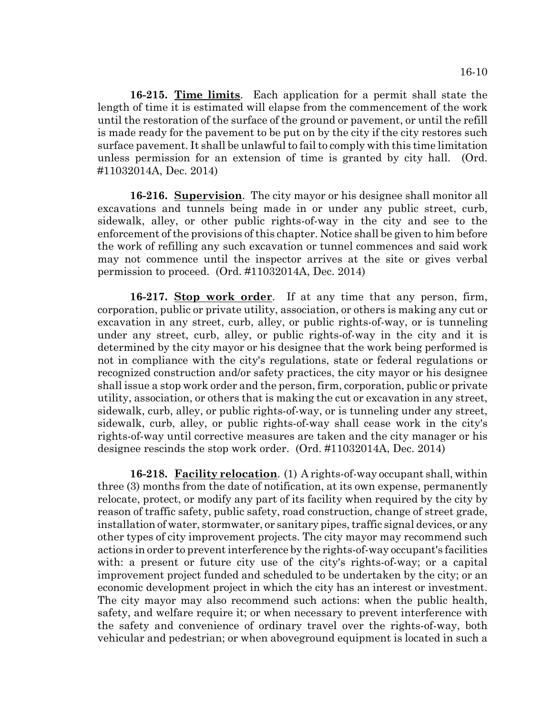**16-215. Time limits**. Each application for a permit shall state the length of time it is estimated will elapse from the commencement of the work until the restoration of the surface of the ground or pavement, or until the refill is made ready for the pavement to be put on by the city if the city restores such surface pavement. It shall be unlawful to fail to comply with this time limitation unless permission for an extension of time is granted by city hall. (Ord. #11032014A, Dec. 2014)

**16-216. Supervision**. The city mayor or his designee shall monitor all excavations and tunnels being made in or under any public street, curb, sidewalk, alley, or other public rights-of-way in the city and see to the enforcement of the provisions of this chapter. Notice shall be given to him before the work of refilling any such excavation or tunnel commences and said work may not commence until the inspector arrives at the site or gives verbal permission to proceed. (Ord. #11032014A, Dec. 2014)

**16-217. Stop work order**. If at any time that any person, firm, corporation, public or private utility, association, or others is making any cut or excavation in any street, curb, alley, or public rights-of-way, or is tunneling under any street, curb, alley, or public rights-of-way in the city and it is determined by the city mayor or his designee that the work being performed is not in compliance with the city's regulations, state or federal regulations or recognized construction and/or safety practices, the city mayor or his designee shall issue a stop work order and the person, firm, corporation, public or private utility, association, or others that is making the cut or excavation in any street, sidewalk, curb, alley, or public rights-of-way, or is tunneling under any street, sidewalk, curb, alley, or public rights-of-way shall cease work in the city's rights-of-way until corrective measures are taken and the city manager or his designee rescinds the stop work order. (Ord. #11032014A, Dec. 2014)

**16-218. Facility relocation**. (1) A rights-of-way occupant shall, within three (3) months from the date of notification, at its own expense, permanently relocate, protect, or modify any part of its facility when required by the city by reason of traffic safety, public safety, road construction, change of street grade, installation of water, stormwater, or sanitary pipes, traffic signal devices, or any other types of city improvement projects. The city mayor may recommend such actions in order to prevent interference by the rights-of-way occupant's facilities with: a present or future city use of the city's rights-of-way; or a capital improvement project funded and scheduled to be undertaken by the city; or an economic development project in which the city has an interest or investment. The city mayor may also recommend such actions: when the public health, safety, and welfare require it; or when necessary to prevent interference with the safety and convenience of ordinary travel over the rights-of-way, both vehicular and pedestrian; or when aboveground equipment is located in such a